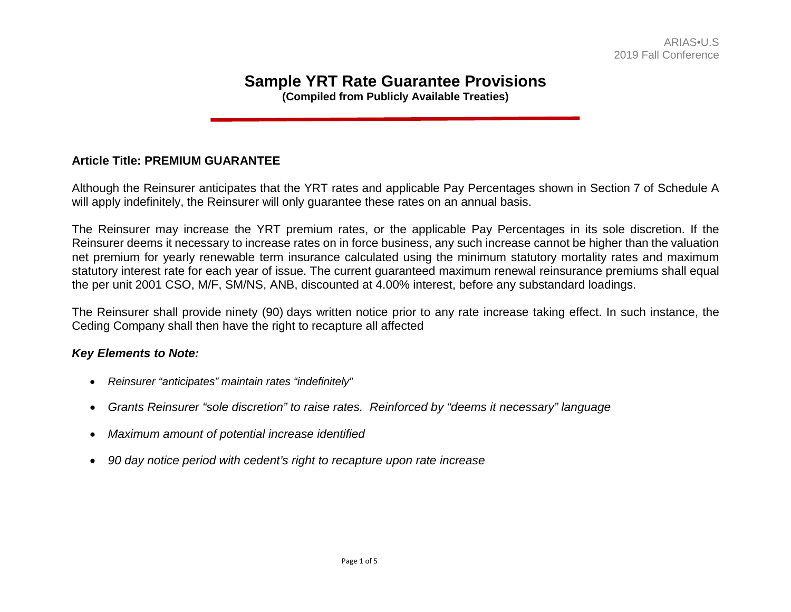# **Sample YRT Rate Guarantee Provisions**

**(Compiled from Publicly Available Treaties)** 

## **Article Title: PREMIUM GUARANTEE**

Although the Reinsurer anticipates that the YRT rates and applicable Pay Percentages shown in Section 7 of Schedule A will apply indefinitely, the Reinsurer will only guarantee these rates on an annual basis.

The Reinsurer may increase the YRT premium rates, or the applicable Pay Percentages in its sole discretion. If the Reinsurer deems it necessary to increase rates on in force business, any such increase cannot be higher than the valuation net premium for yearly renewable term insurance calculated using the minimum statutory mortality rates and maximum statutory interest rate for each year of issue. The current guaranteed maximum renewal reinsurance premiums shall equal the per unit 2001 CSO, M/F, SM/NS, ANB, discounted at 4.00% interest, before any substandard loadings.

The Reinsurer shall provide ninety (90) days written notice prior to any rate increase taking effect. In such instance, the Ceding Company shall then have the right to recapture all affected

- *Reinsurer "anticipates" maintain rates "indefinitely"*
- *Grants Reinsurer "sole discretion" to raise rates. Reinforced by "deems it necessary" language*
- *Maximum amount of potential increase identified*
- *90 day notice period with cedent's right to recapture upon rate increase*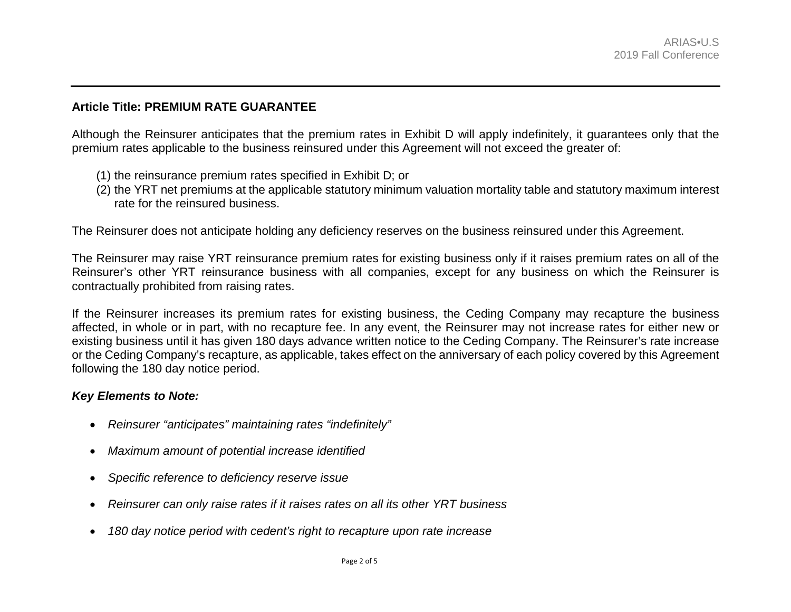#### **Article Title: PREMIUM RATE GUARANTEE**

Although the Reinsurer anticipates that the premium rates in Exhibit D will apply indefinitely, it guarantees only that the premium rates applicable to the business reinsured under this Agreement will not exceed the greater of:

- (1) the reinsurance premium rates specified in Exhibit D; or
- (2) the YRT net premiums at the applicable statutory minimum valuation mortality table and statutory maximum interest rate for the reinsured business.

The Reinsurer does not anticipate holding any deficiency reserves on the business reinsured under this Agreement.

The Reinsurer may raise YRT reinsurance premium rates for existing business only if it raises premium rates on all of the Reinsurer's other YRT reinsurance business with all companies, except for any business on which the Reinsurer is contractually prohibited from raising rates.

If the Reinsurer increases its premium rates for existing business, the Ceding Company may recapture the business affected, in whole or in part, with no recapture fee. In any event, the Reinsurer may not increase rates for either new or existing business until it has given 180 days advance written notice to the Ceding Company. The Reinsurer's rate increase or the Ceding Company's recapture, as applicable, takes effect on the anniversary of each policy covered by this Agreement following the 180 day notice period.

- *Reinsurer "anticipates" maintaining rates "indefinitely"*
- *Maximum amount of potential increase identified*
- *Specific reference to deficiency reserve issue*
- *Reinsurer can only raise rates if it raises rates on all its other YRT business*
- *180 day notice period with cedent's right to recapture upon rate increase*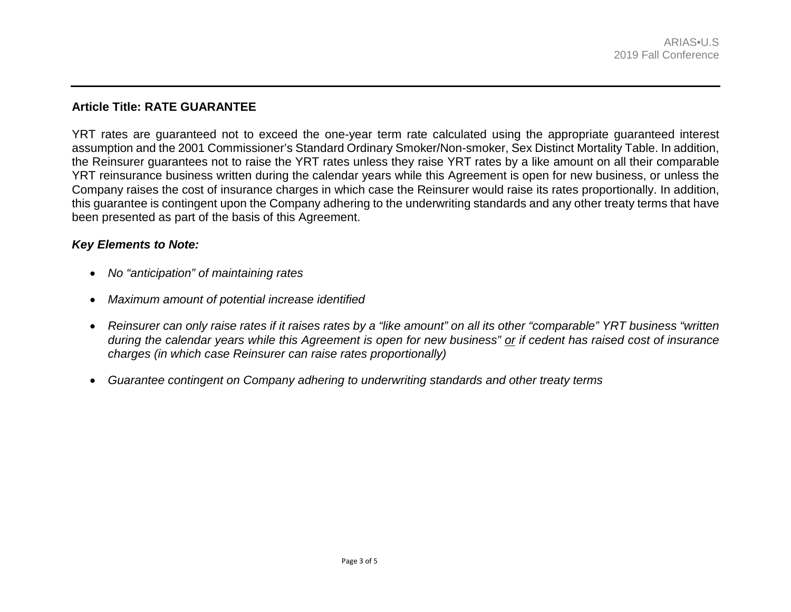# **Article Title: RATE GUARANTEE**

YRT rates are guaranteed not to exceed the one-year term rate calculated using the appropriate guaranteed interest assumption and the 2001 Commissioner's Standard Ordinary Smoker/Non-smoker, Sex Distinct Mortality Table. In addition, the Reinsurer guarantees not to raise the YRT rates unless they raise YRT rates by a like amount on all their comparable YRT reinsurance business written during the calendar years while this Agreement is open for new business, or unless the Company raises the cost of insurance charges in which case the Reinsurer would raise its rates proportionally. In addition, this guarantee is contingent upon the Company adhering to the underwriting standards and any other treaty terms that have been presented as part of the basis of this Agreement.

- *No "anticipation" of maintaining rates*
- *Maximum amount of potential increase identified*
- *Reinsurer can only raise rates if it raises rates by a "like amount" on all its other "comparable" YRT business "written during the calendar years while this Agreement is open for new business" or if cedent has raised cost of insurance charges (in which case Reinsurer can raise rates proportionally)*
- *Guarantee contingent on Company adhering to underwriting standards and other treaty terms*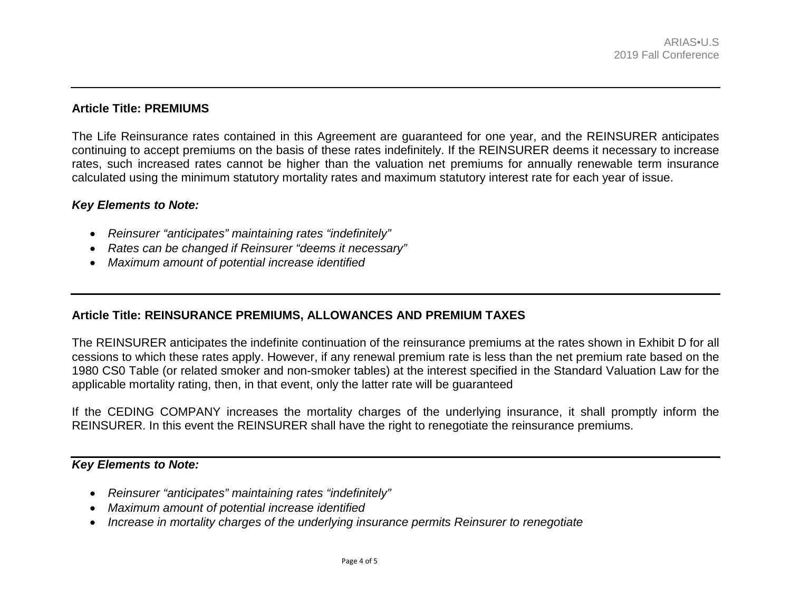# **Article Title: PREMIUMS**

The Life Reinsurance rates contained in this Agreement are guaranteed for one year, and the REINSURER anticipates continuing to accept premiums on the basis of these rates indefinitely. If the REINSURER deems it necessary to increase rates, such increased rates cannot be higher than the valuation net premiums for annually renewable term insurance calculated using the minimum statutory mortality rates and maximum statutory interest rate for each year of issue.

#### *Key Elements to Note:*

- *Reinsurer "anticipates" maintaining rates "indefinitely"*
- *Rates can be changed if Reinsurer "deems it necessary"*
- *Maximum amount of potential increase identified*

# **Article Title: REINSURANCE PREMIUMS, ALLOWANCES AND PREMIUM TAXES**

The REINSURER anticipates the indefinite continuation of the reinsurance premiums at the rates shown in Exhibit D for all cessions to which these rates apply. However, if any renewal premium rate is less than the net premium rate based on the 1980 CS0 Table (or related smoker and non-smoker tables) at the interest specified in the Standard Valuation Law for the applicable mortality rating, then, in that event, only the latter rate will be guaranteed

If the CEDING COMPANY increases the mortality charges of the underlying insurance, it shall promptly inform the REINSURER. In this event the REINSURER shall have the right to renegotiate the reinsurance premiums.

- *Reinsurer "anticipates" maintaining rates "indefinitely"*
- *Maximum amount of potential increase identified*
- *Increase in mortality charges of the underlying insurance permits Reinsurer to renegotiate*